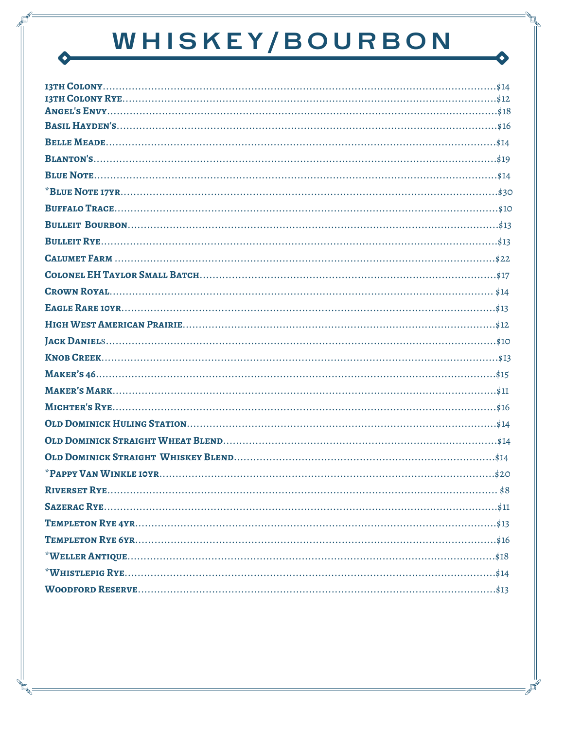# WHISKEY/BOURBON

| <b>RIVERSET RYE</b><br>\$8 |
|----------------------------|
|                            |
|                            |
|                            |
|                            |
|                            |
|                            |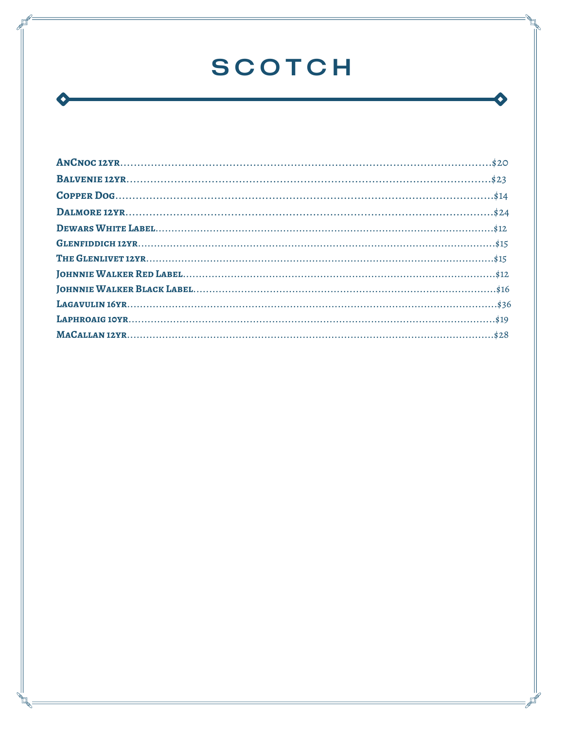## **SCOTCH**

| $DALMORE 12YR 12YR 12YR$ |  |
|--------------------------|--|
|                          |  |
|                          |  |
|                          |  |
|                          |  |
|                          |  |
|                          |  |
|                          |  |
|                          |  |
|                          |  |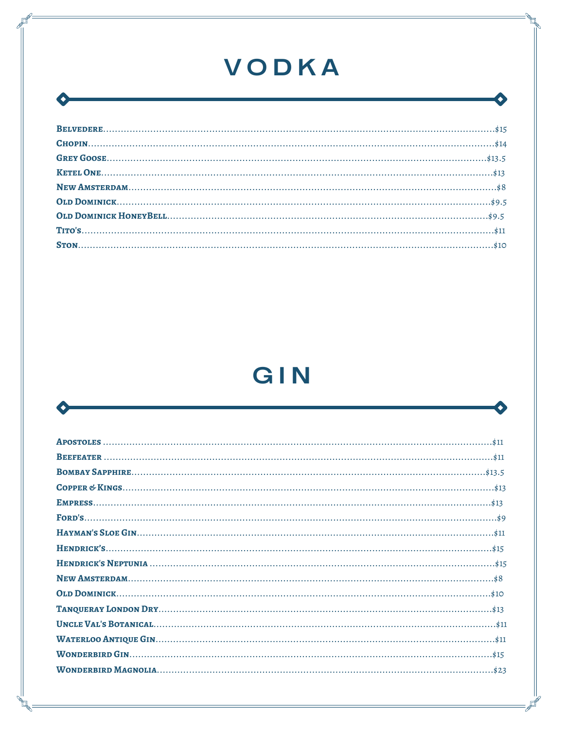## VODKA

### GIN